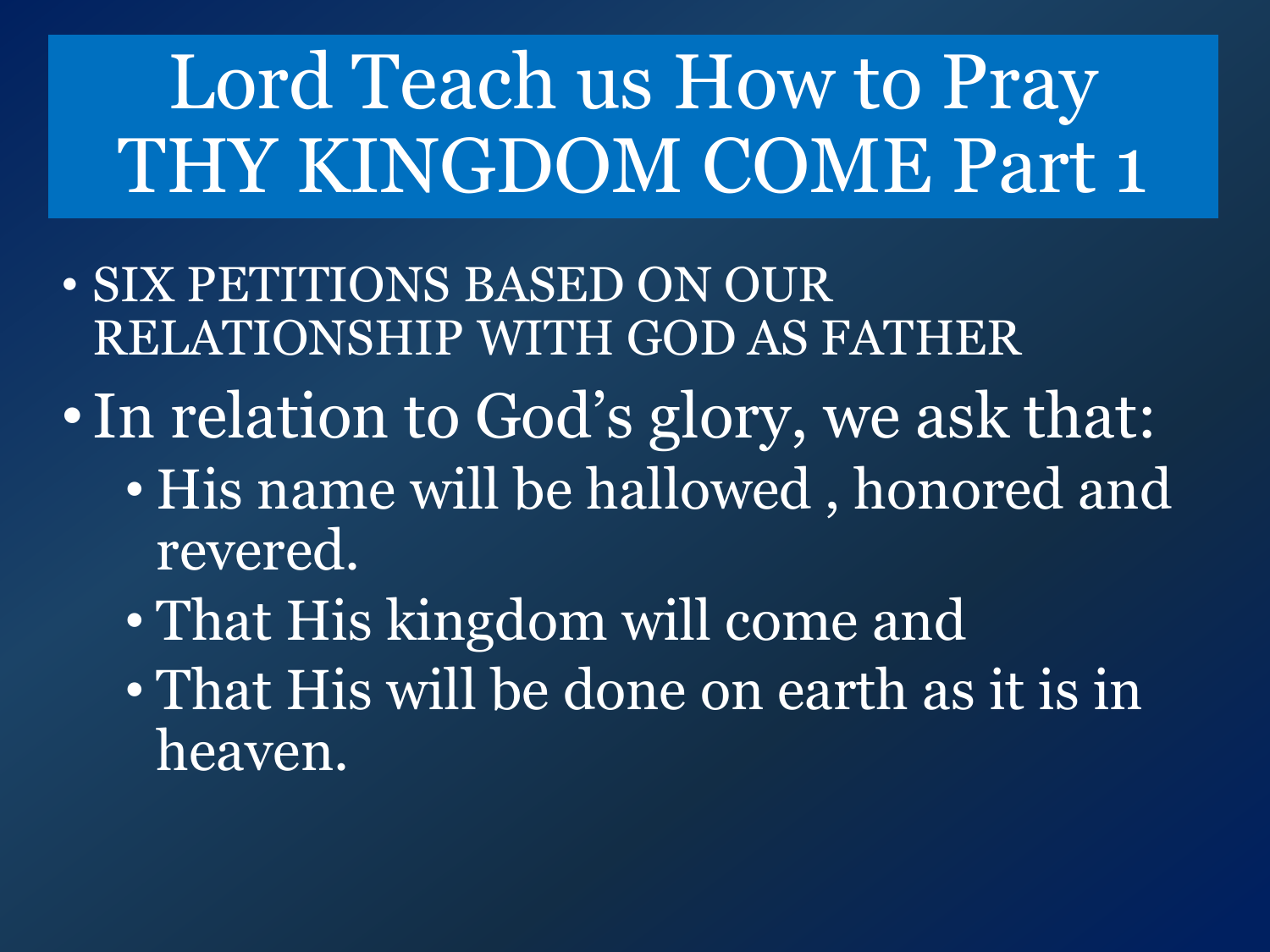# Lord Teach us How to Pray THY KINGDOM COME Part 1

- SIX PETITIONS BASED ON OUR RELATIONSHIP WITH GOD AS FATHER
- In relation to God's glory, we ask that:
	- His name will be hallowed , honored and revered.
	- That His kingdom will come and
	- That His will be done on earth as it is in heaven.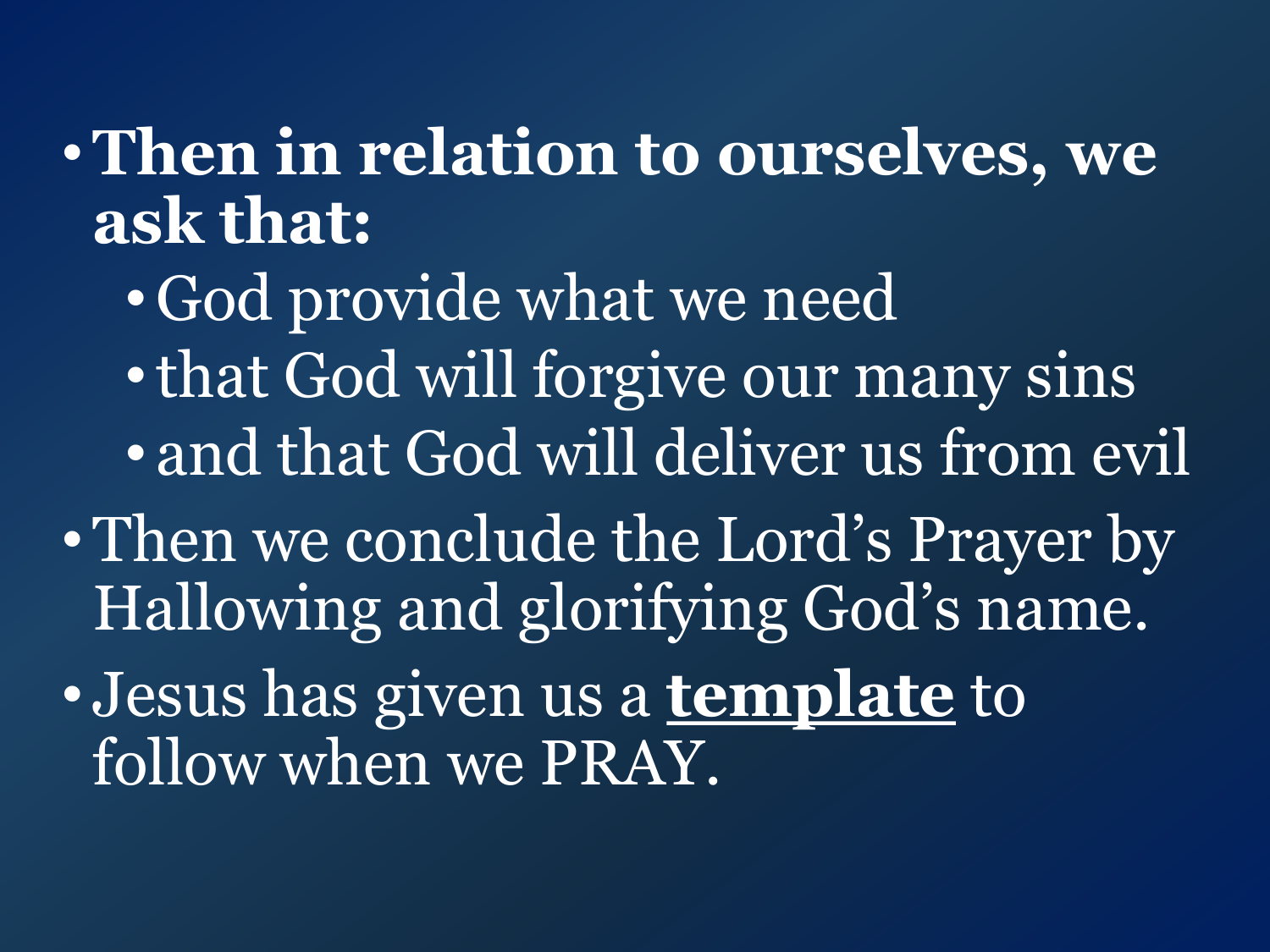#### •**Then in relation to ourselves, we ask that:**

- God provide what we need • that God will forgive our many sins • and that God will deliver us from evil
- Then we conclude the Lord's Prayer by Hallowing and glorifying God's name.
- Jesus has given us a **template** to follow when we PRAY.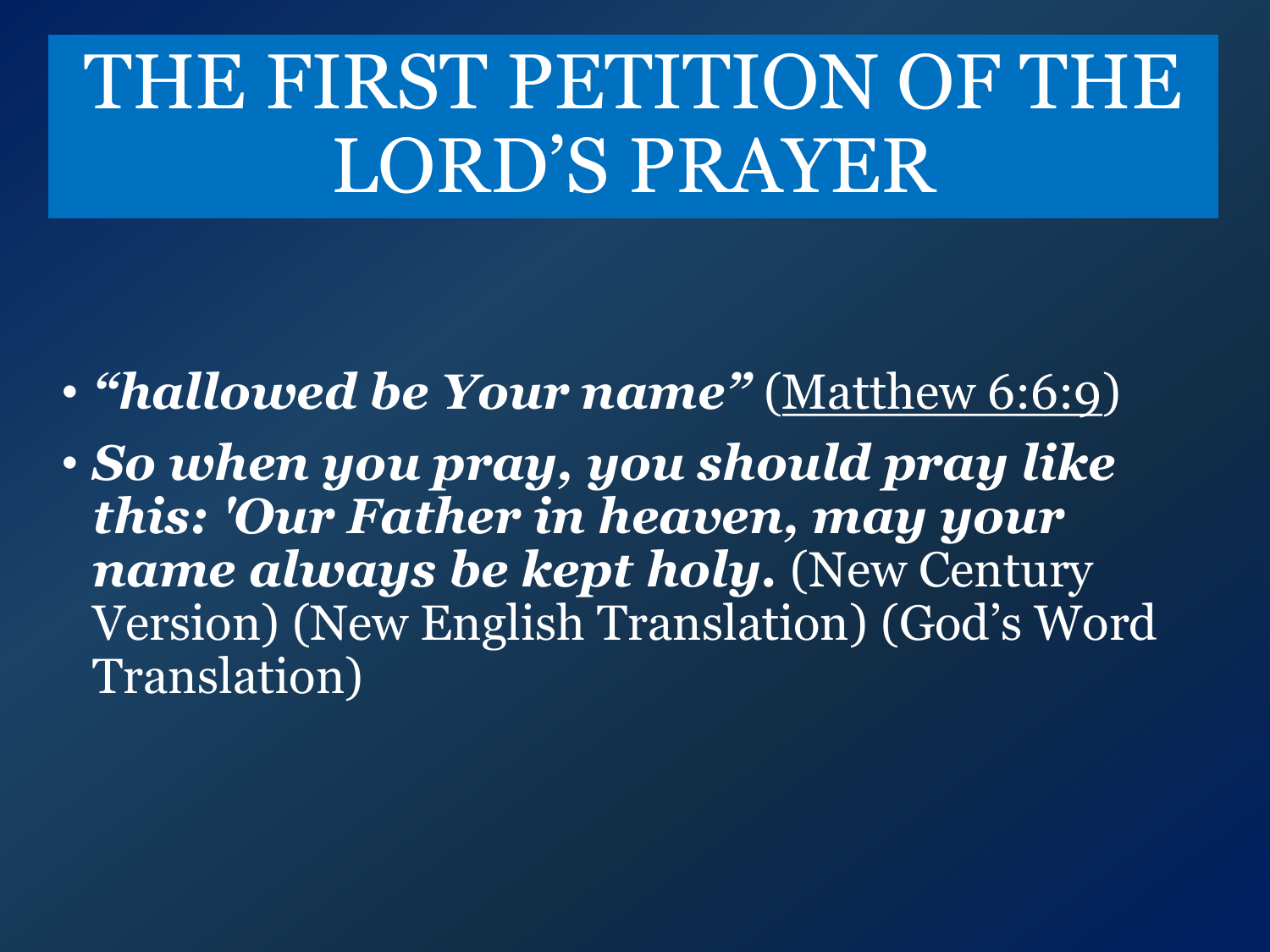## THE FIRST PETITION OF THE LORD'S PRAYER

- *"hallowed be Your name"* (Matthew 6:6:9)
- *So when you pray, you should pray like this: 'Our Father in heaven, may your name always be kept holy.* (New Century Version) (New English Translation) (God's Word Translation)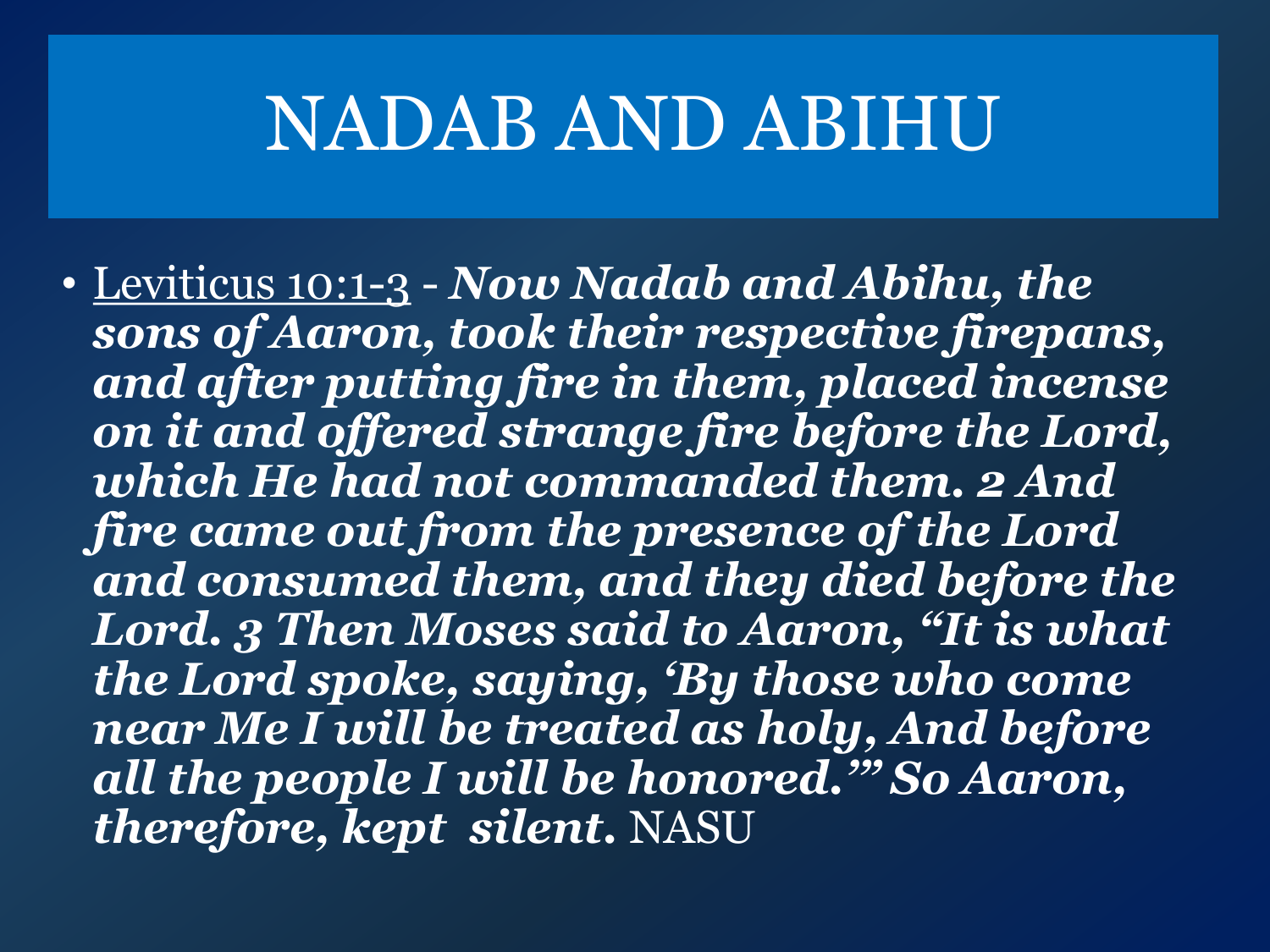### NADAB AND ABIHU

• Leviticus 10:1-3 - *Now Nadab and Abihu, the sons of Aaron, took their respective firepans, and after putting fire in them, placed incense on it and offered strange fire before the Lord, which He had not commanded them. 2 And fire came out from the presence of the Lord and consumed them, and they died before the Lord. 3 Then Moses said to Aaron, "It is what the Lord spoke, saying, 'By those who come near Me I will be treated as holy, And before all the people I will be honored.'" So Aaron, therefore, kept silent.* NASU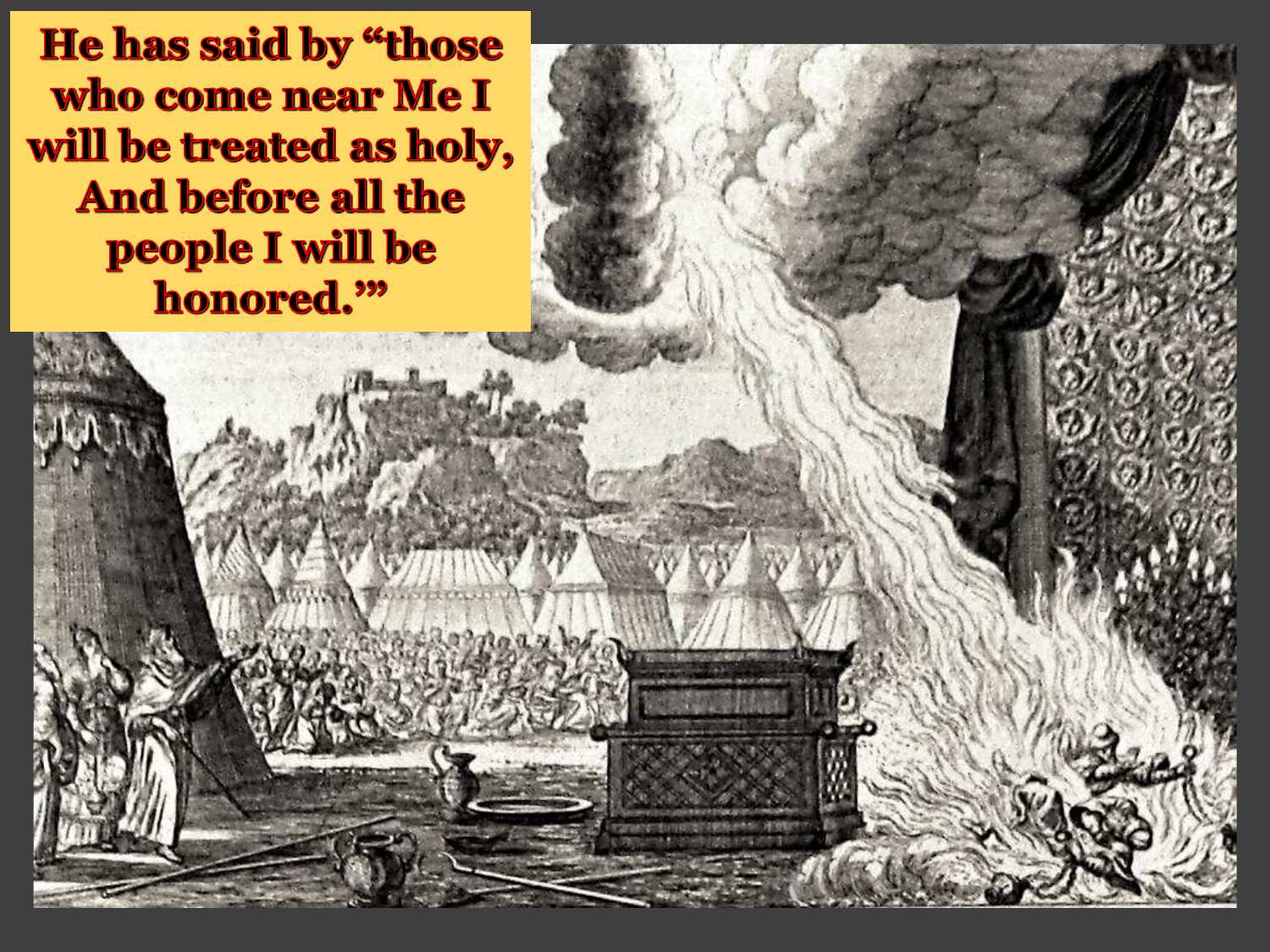**He has said by "those** who come near Me I will be treated as holy, **And before all the** people I will be honored."

Margaret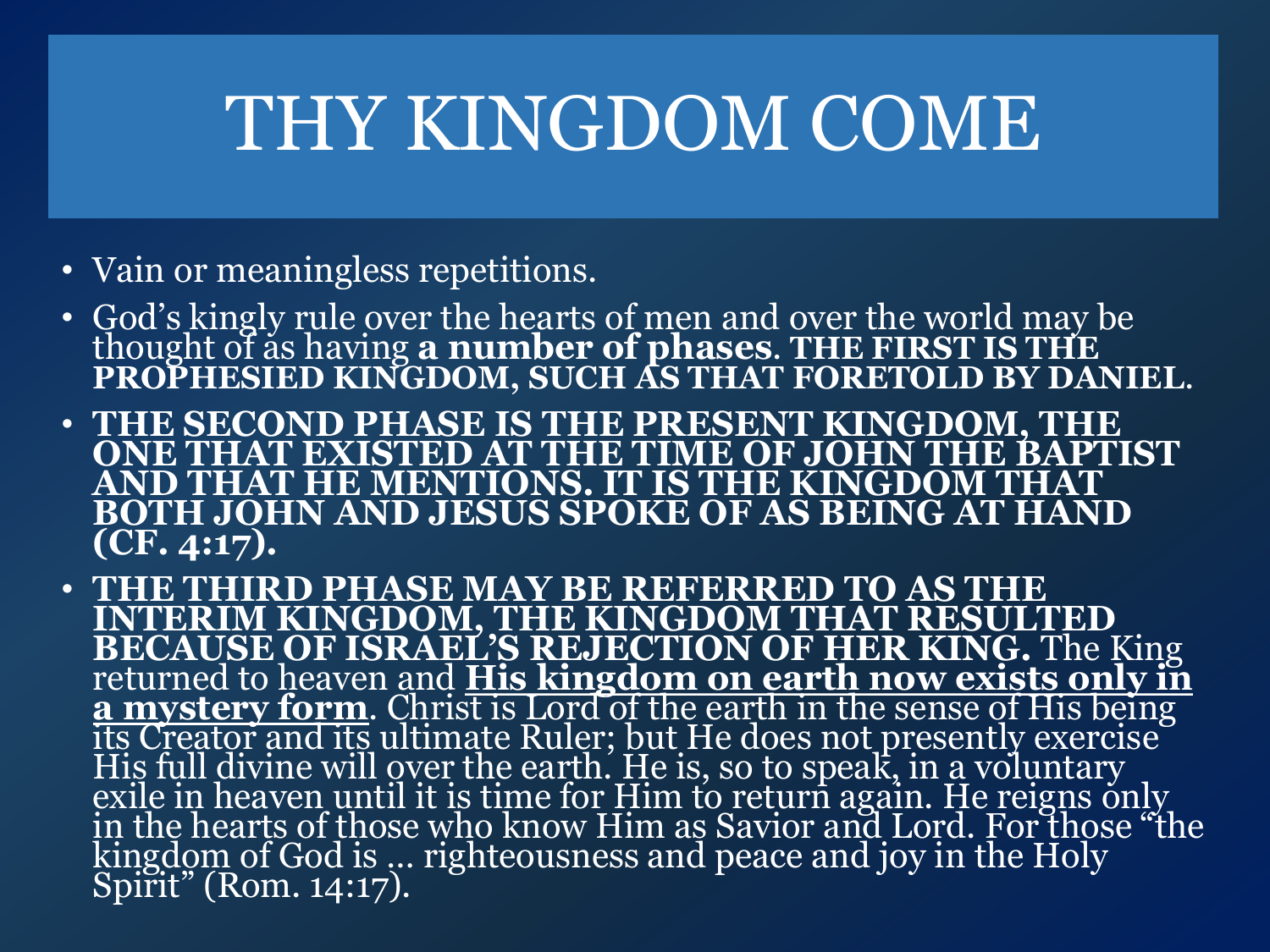## THY KINGDOM COME

- Vain or meaningless repetitions.
- God's kingly rule over the hearts of men and over the world may be thought of as having **a number of phases**. **THE FIRST IS THE PROPHESIED KINGDOM, SUCH AS THAT FORETOLD BY DANIEL**.
- **THE SECOND PHASE IS THE PRESENT KINGDOM, THE ONE THAT EXISTED AT THE TIME OF JOHN THE BAPTIST AND THAT HE MENTIONS. IT IS THE KINGDOM THAT BOTH JOHN AND JESUS SPOKE OF AS BEING AT HAND (CF. 4:17).**
- **THE THIRD PHASE MAY BE REFERRED TO AS THE INTERIM KINGDOM, THE KINGDOM THAT RESULTED BECAUSE OF ISRAEL'S REJECTION OF HER KING.** The King returned to heaven and **His kingdom on earth now exists only in a mystery form**. Christ is Lord of the earth in the sense of His being its Creator and its ultimate Ruler; but He does not presently exercise His full divine will over the earth. He is, so to speak, in a voluntary exile in heaven until it is time for Him to return again. He reigns only in the hearts of those who know Him as Savior and Lord. For those "the kingdom of God is … righteousness and peace and joy in the Holy Spirit" (Rom. 14:17).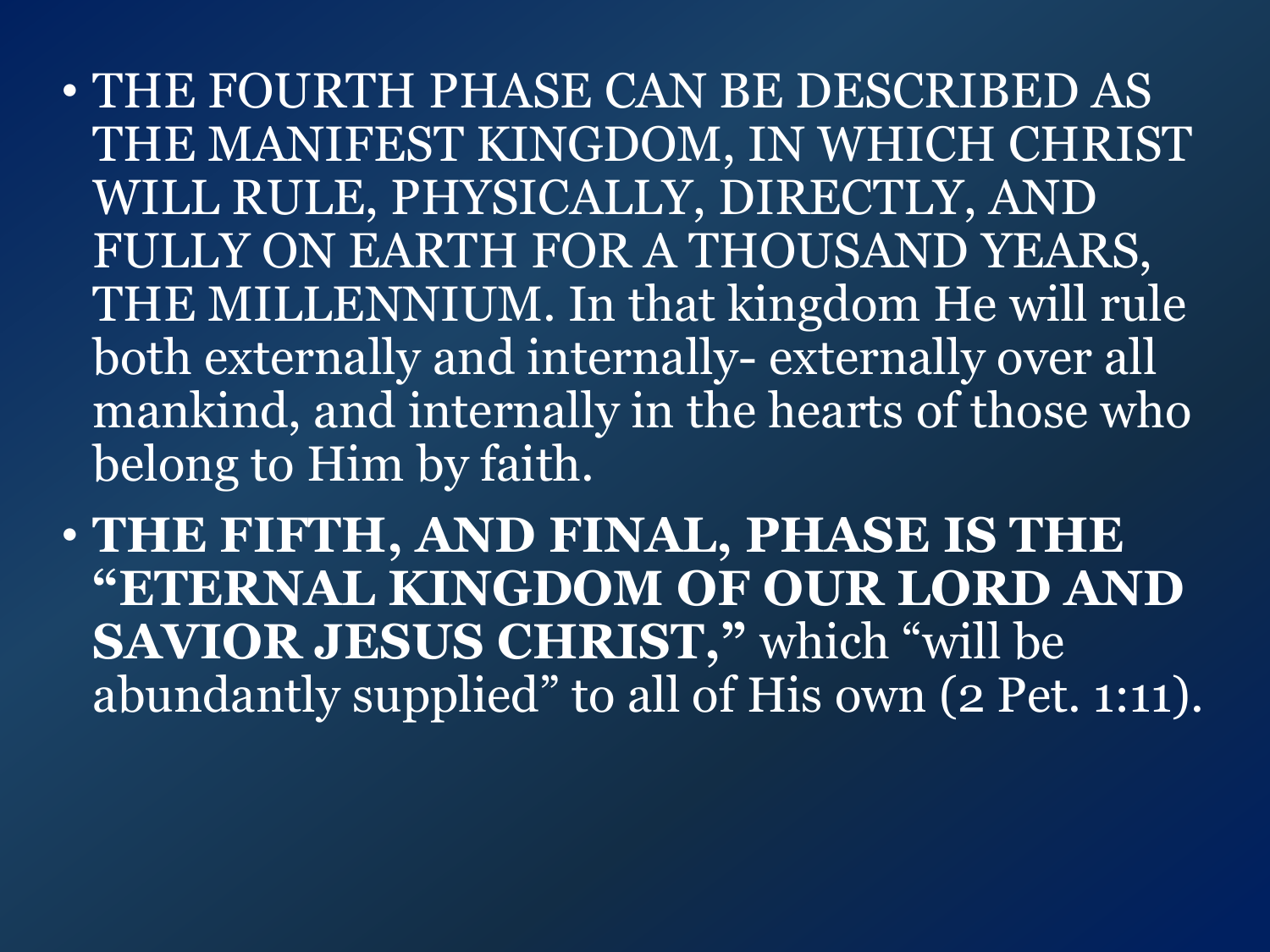- THE FOURTH PHASE CAN BE DESCRIBED AS THE MANIFEST KINGDOM, IN WHICH CHRIST WILL RULE, PHYSICALLY, DIRECTLY, AND FULLY ON EARTH FOR A THOUSAND YEARS, THE MILLENNIUM. In that kingdom He will rule both externally and internally- externally over all mankind, and internally in the hearts of those who belong to Him by faith.
- **THE FIFTH, AND FINAL, PHASE IS THE "ETERNAL KINGDOM OF OUR LORD AND SAVIOR JESUS CHRIST,"** which "will be abundantly supplied" to all of His own (2 Pet. 1:11).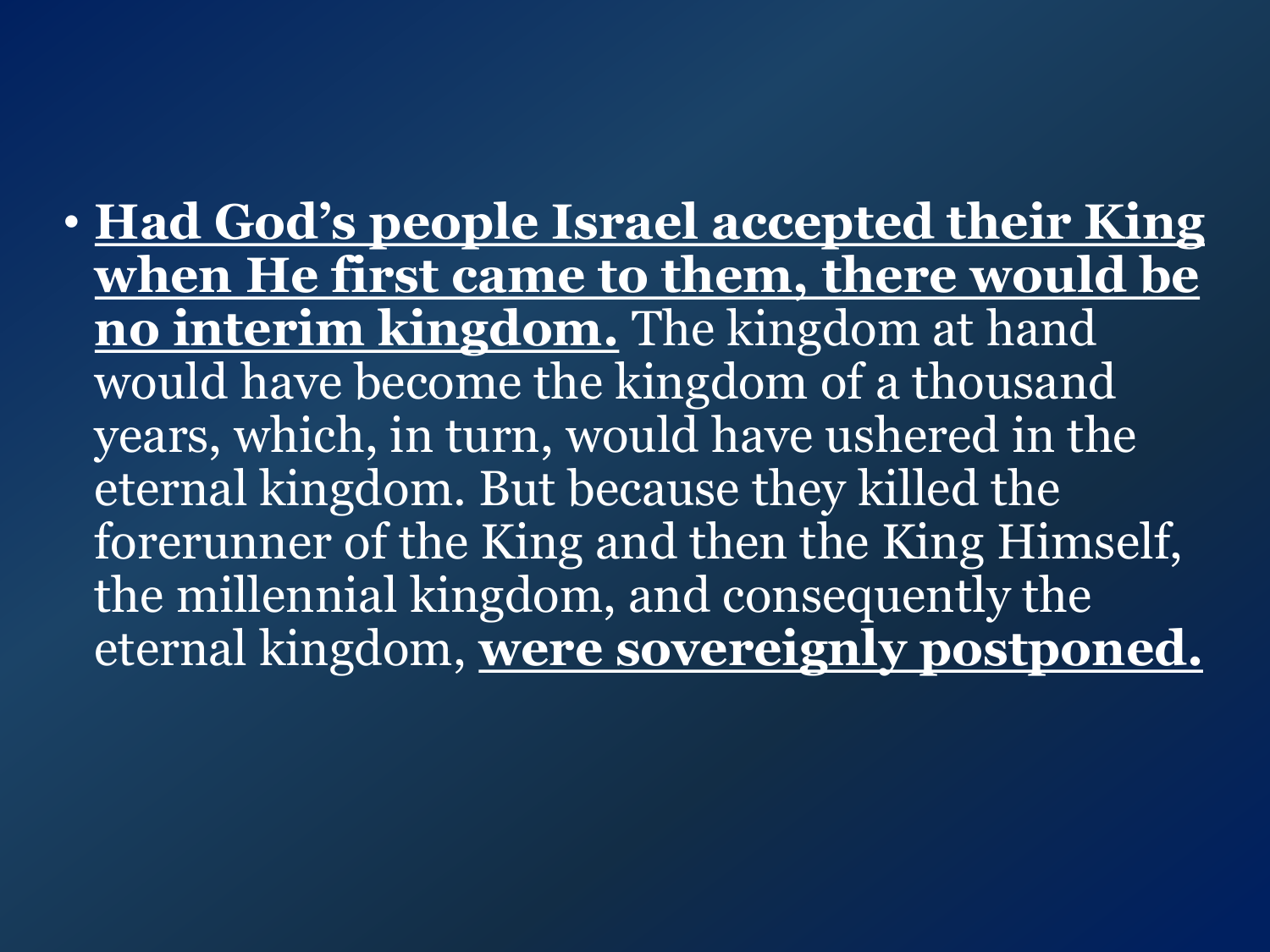• **Had God's people Israel accepted their King when He first came to them, there would be no interim kingdom.** The kingdom at hand would have become the kingdom of a thousand years, which, in turn, would have ushered in the eternal kingdom. But because they killed the forerunner of the King and then the King Himself, the millennial kingdom, and consequently the eternal kingdom, **were sovereignly postponed.**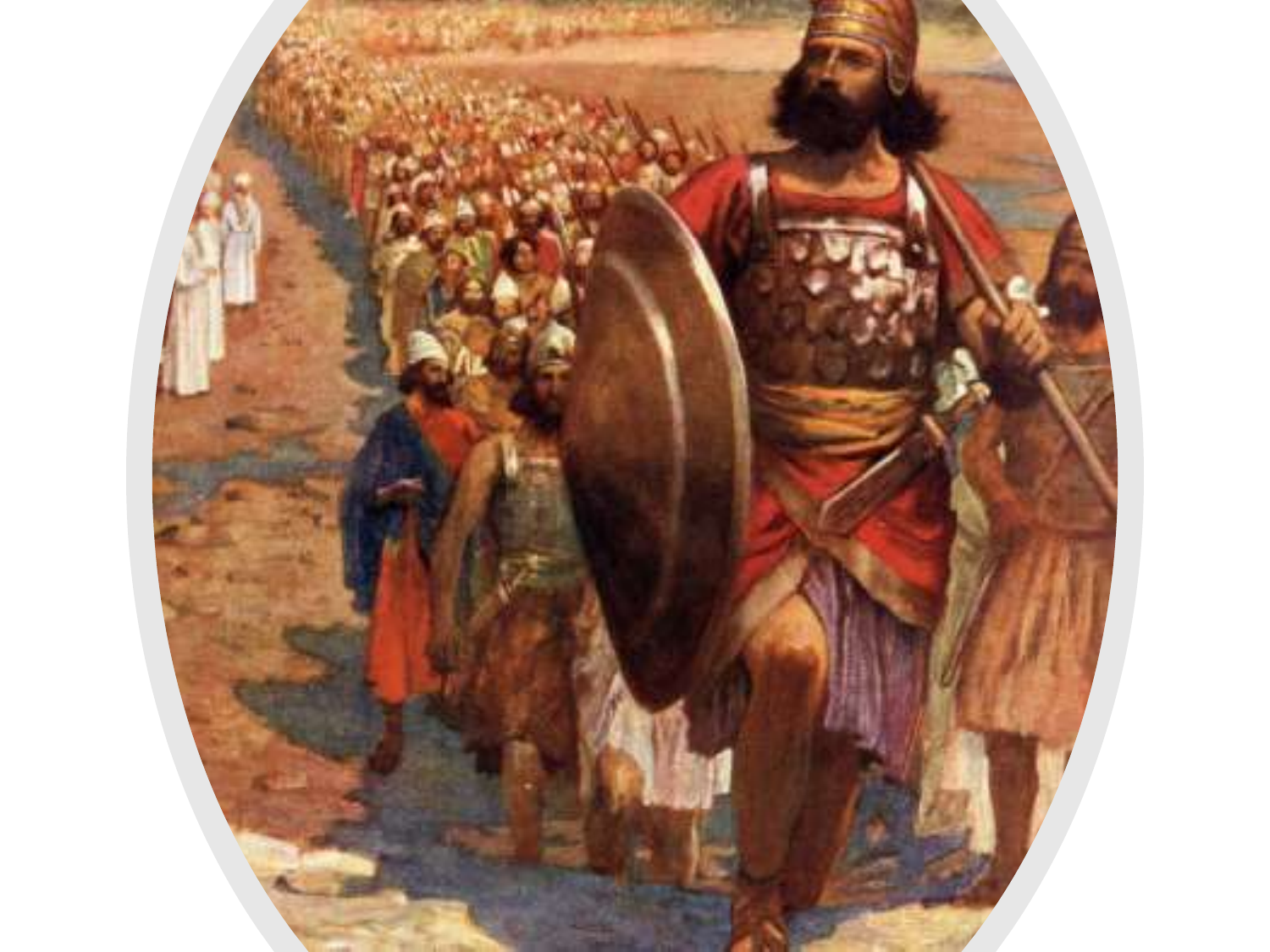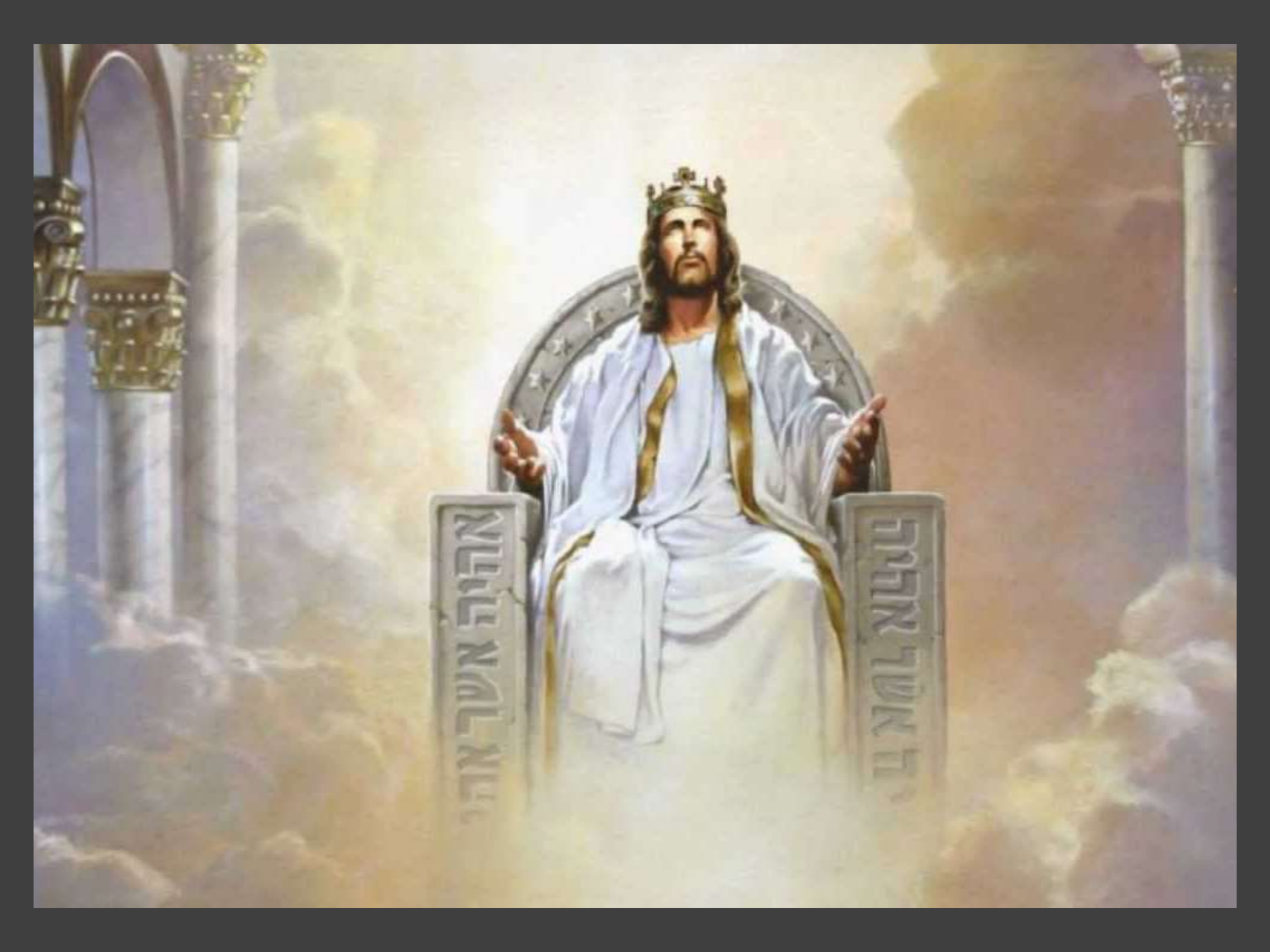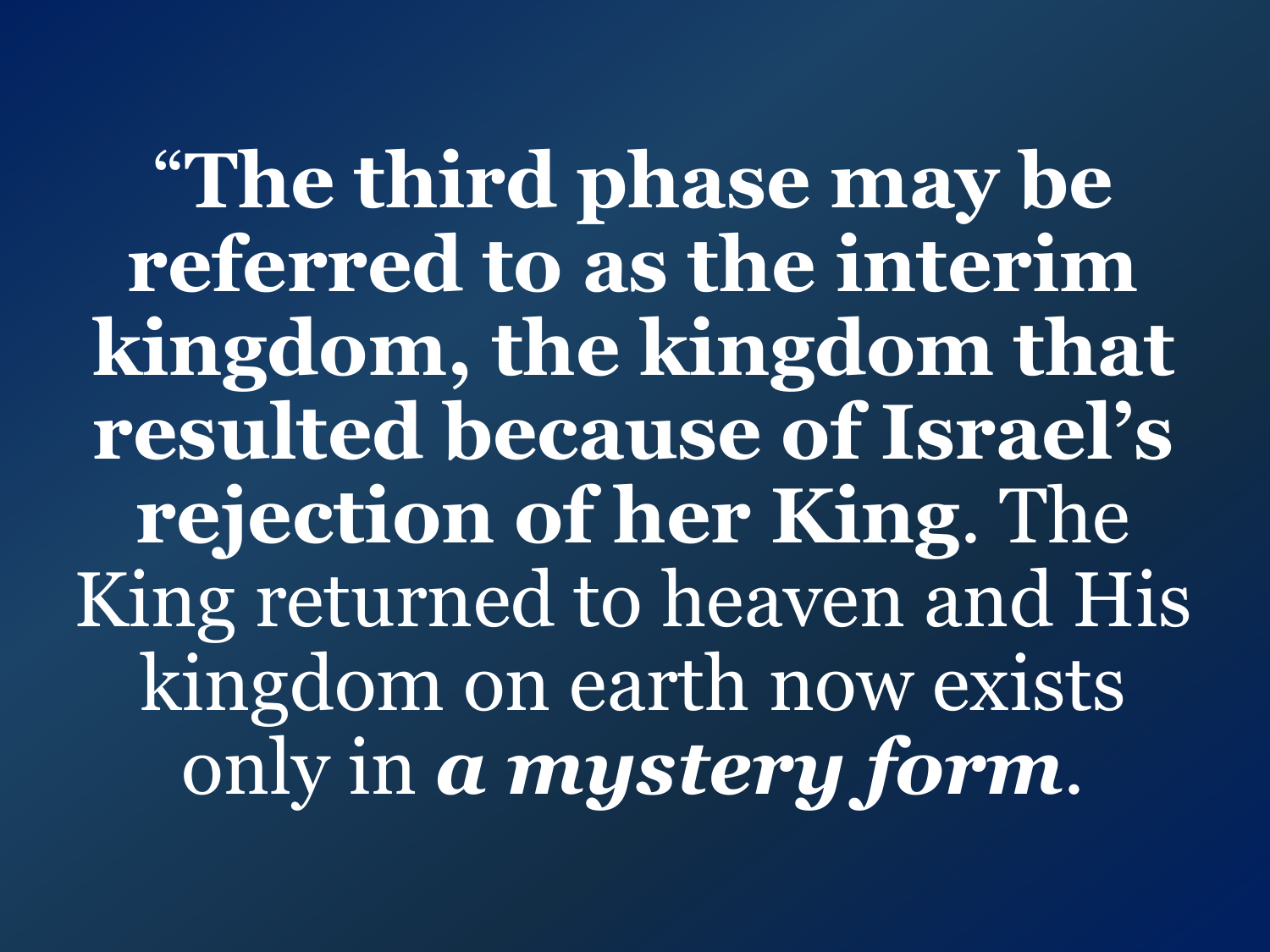"**The third phase may be referred to as the interim kingdom, the kingdom that resulted because of Israel's rejection of her King**. The King returned to heaven and His kingdom on earth now exists only in *a mystery form*.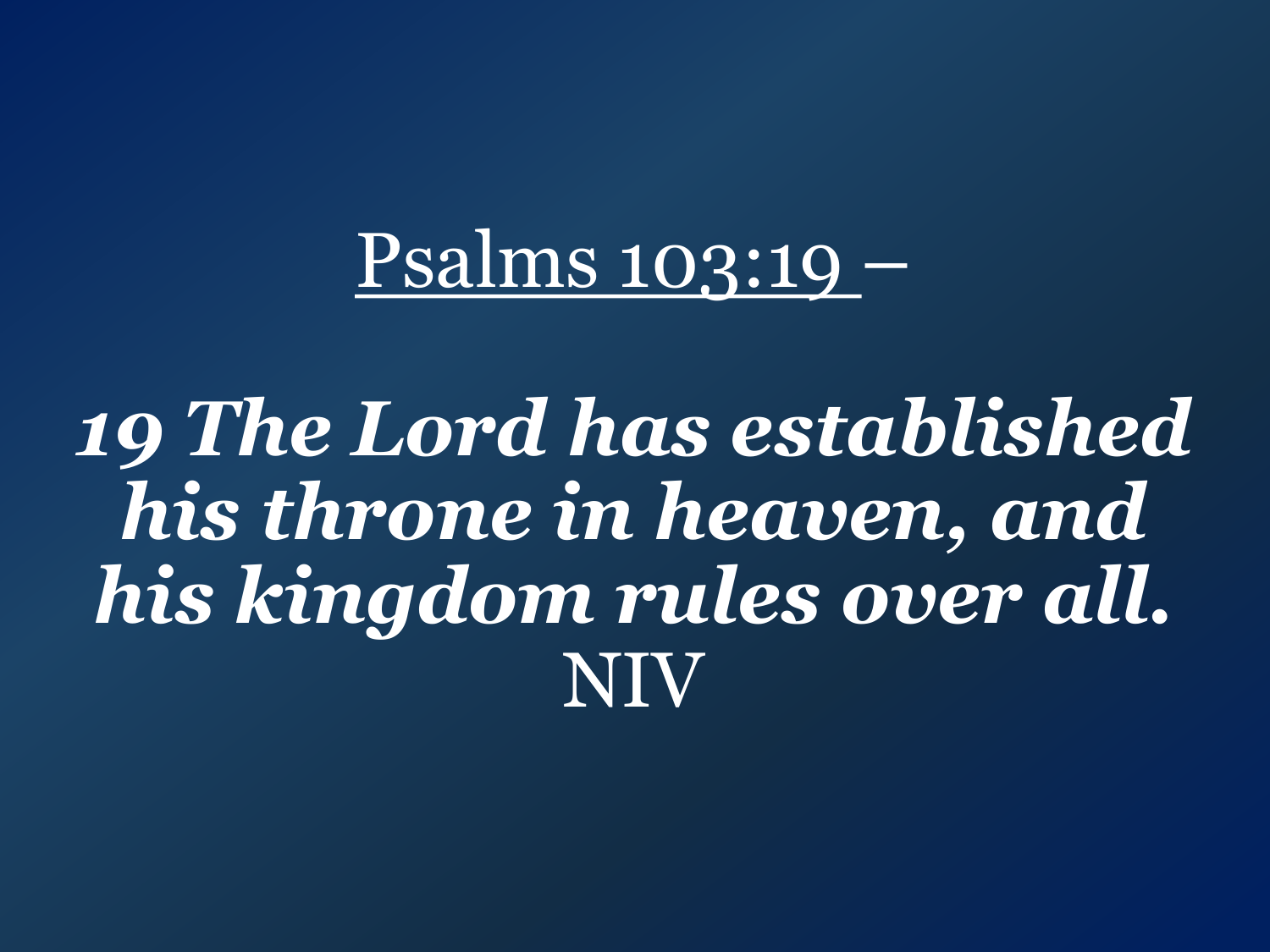### Psalms 103:19 -

19 The Lord has established his throne in heaven, and his kingdom rules over all. **NIV**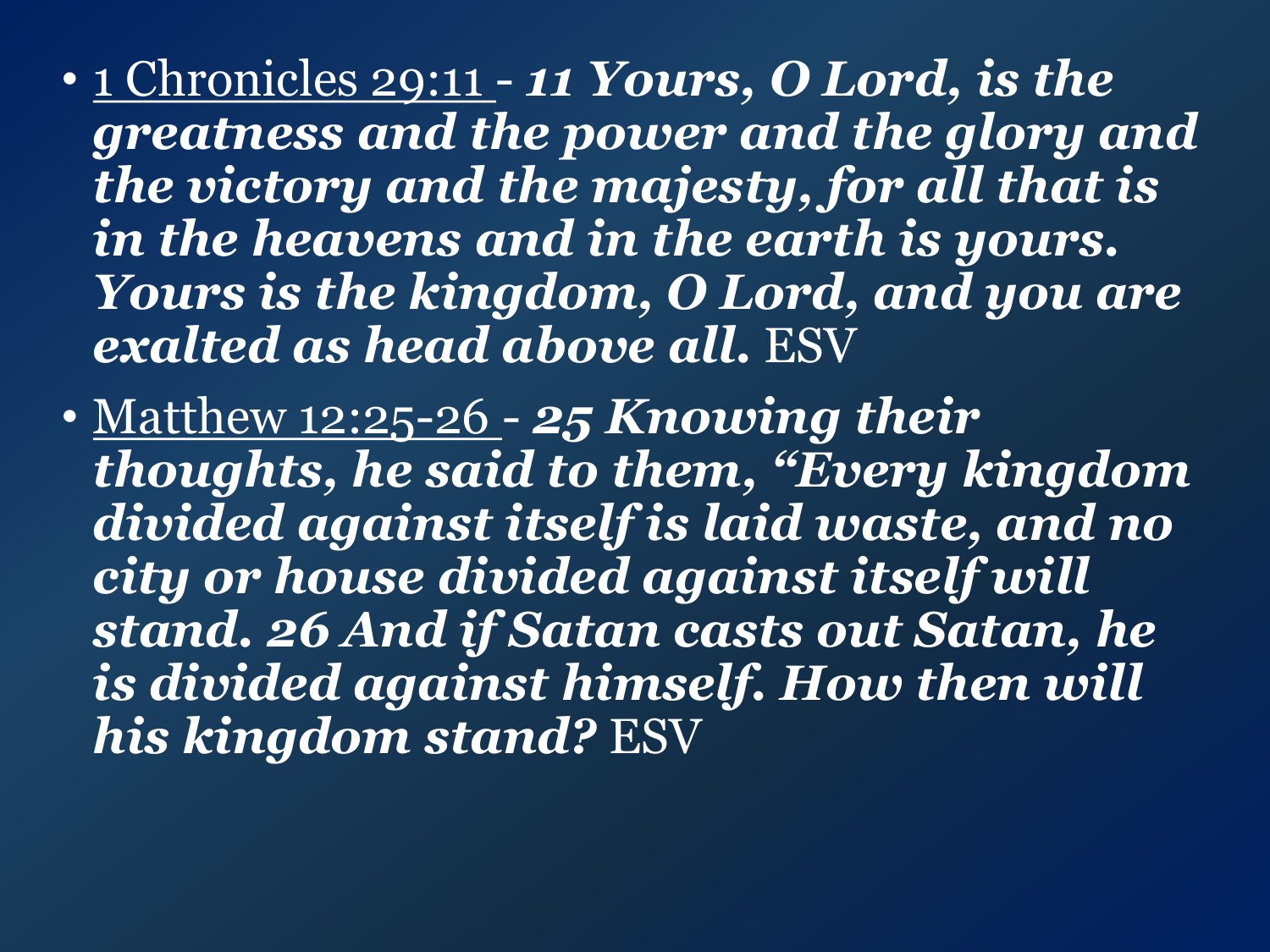- 1 Chronicles 29:11 *11 Yours, O Lord, is the greatness and the power and the glory and the victory and the majesty, for all that is in the heavens and in the earth is yours. Yours is the kingdom, O Lord, and you are exalted as head above all.* ESV
- Matthew 12:25-26 *25 Knowing their thoughts, he said to them, "Every kingdom divided against itself is laid waste, and no city or house divided against itself will stand. 26 And if Satan casts out Satan, he is divided against himself. How then will his kingdom stand?* ESV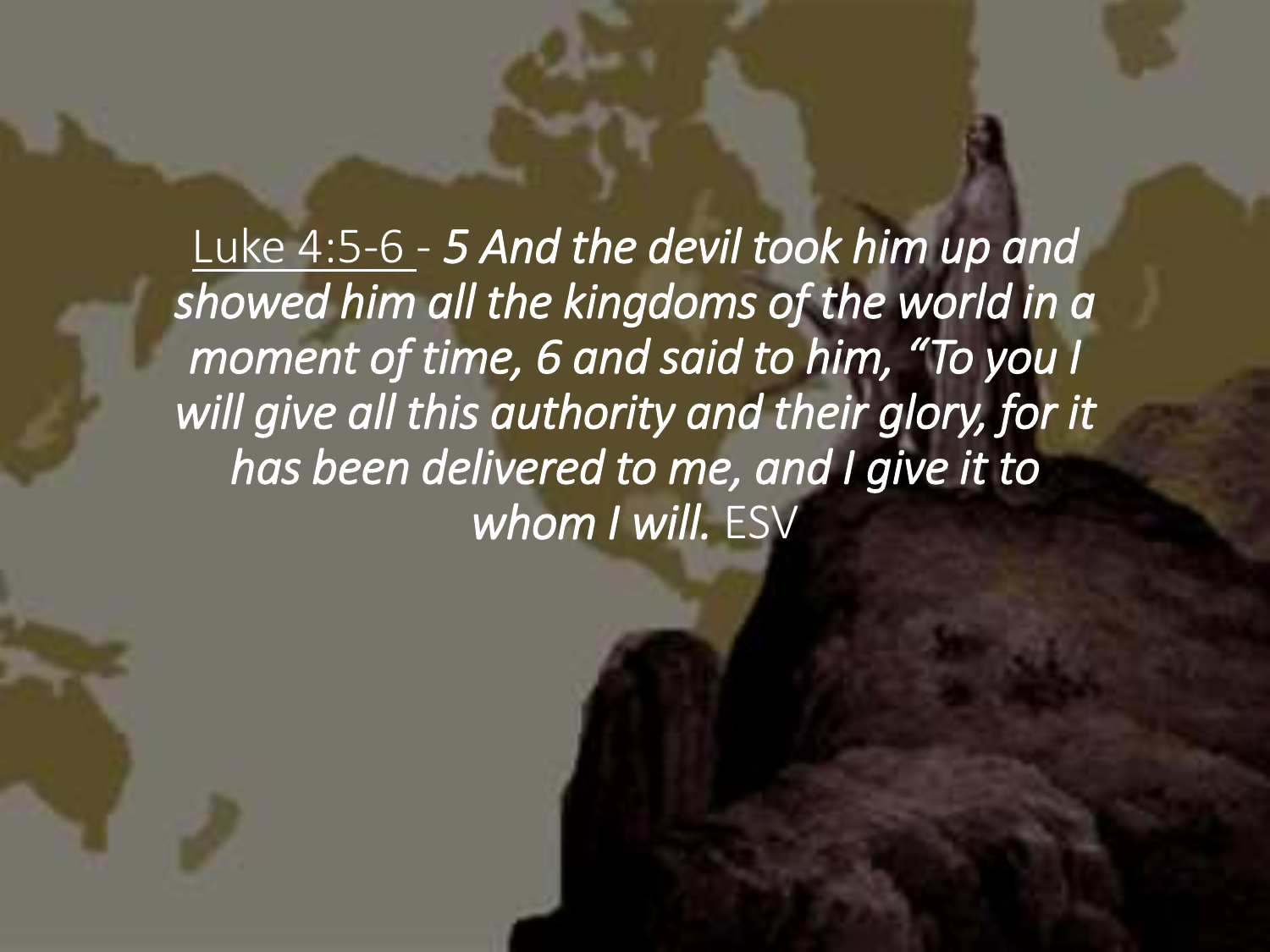Luke 4:5-6 - *5 And the devil took him up and showed him all the kingdoms of the world in a moment of time, 6 and said to him, "To you I*  will give all this authority and their glory, for it *has been delivered to me, and I give it to whom I will.* ESV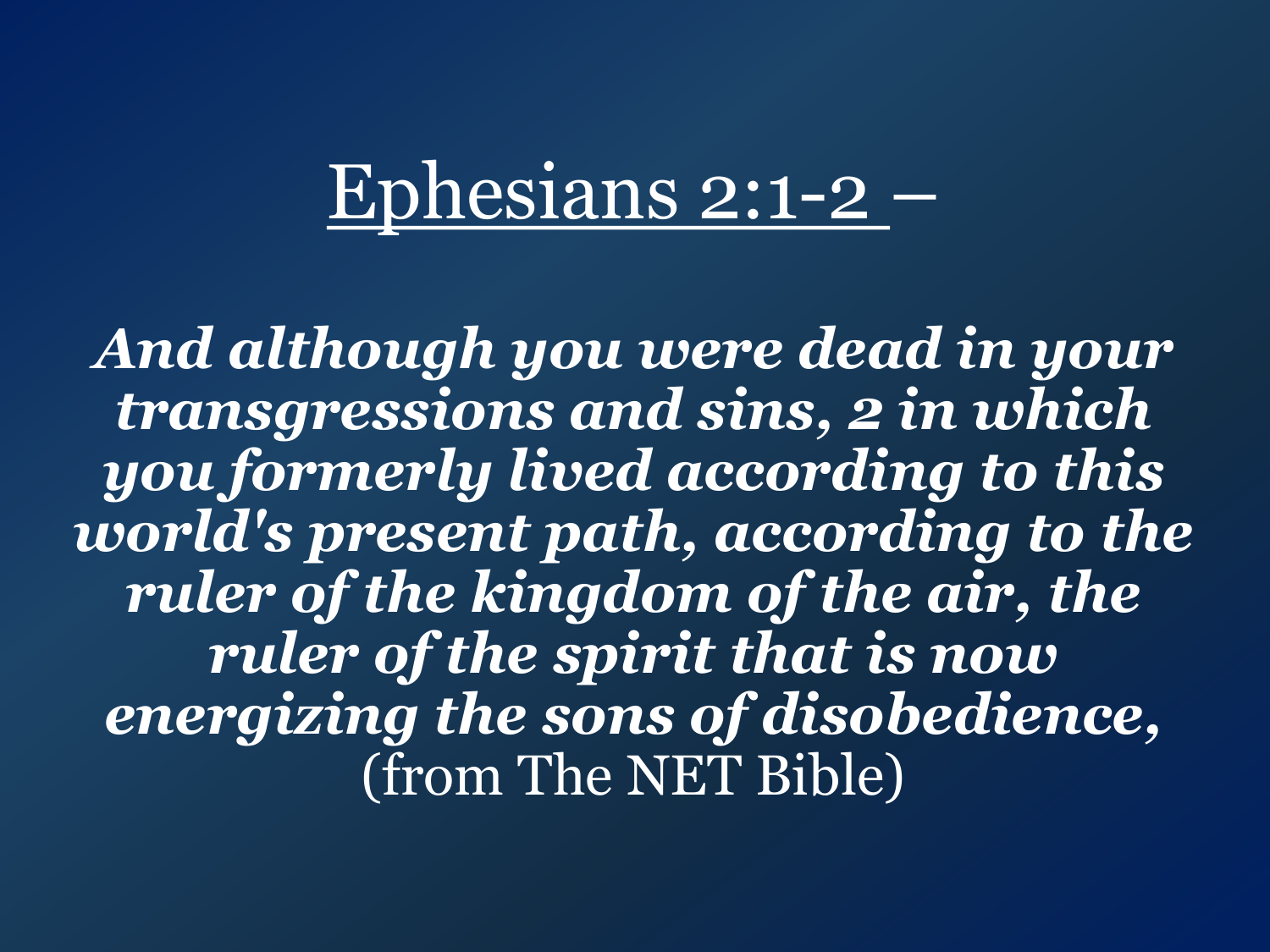## Ephesians 2:1-2 –

*And although you were dead in your transgressions and sins, 2 in which you formerly lived according to this world's present path, according to the ruler of the kingdom of the air, the ruler of the spirit that is now energizing the sons of disobedience,* (from The NET Bible)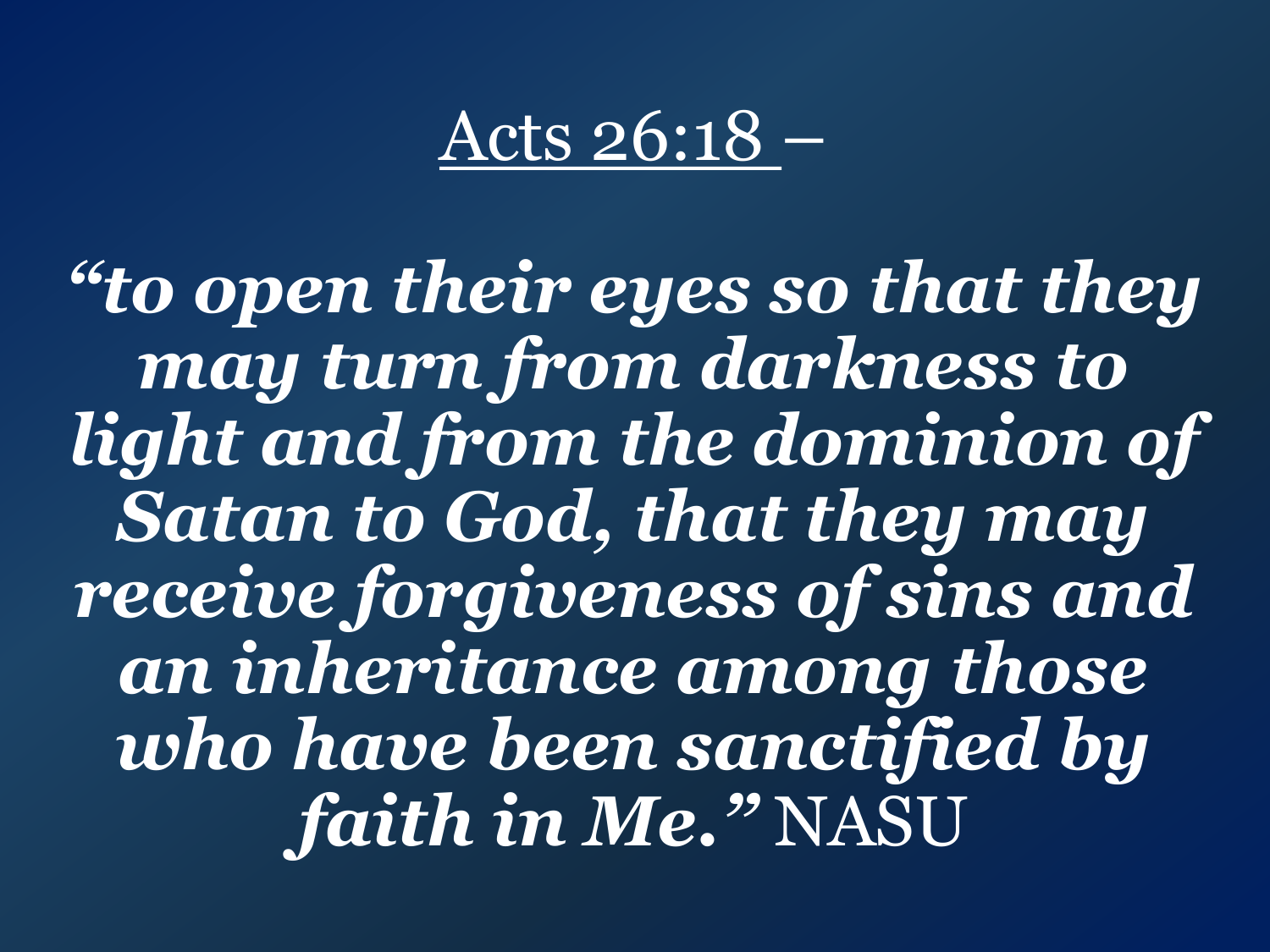#### Acts 26:18 –

*"to open their eyes so that they may turn from darkness to light and from the dominion of Satan to God, that they may receive forgiveness of sins and an inheritance among those who have been sanctified by faith in Me."* NASU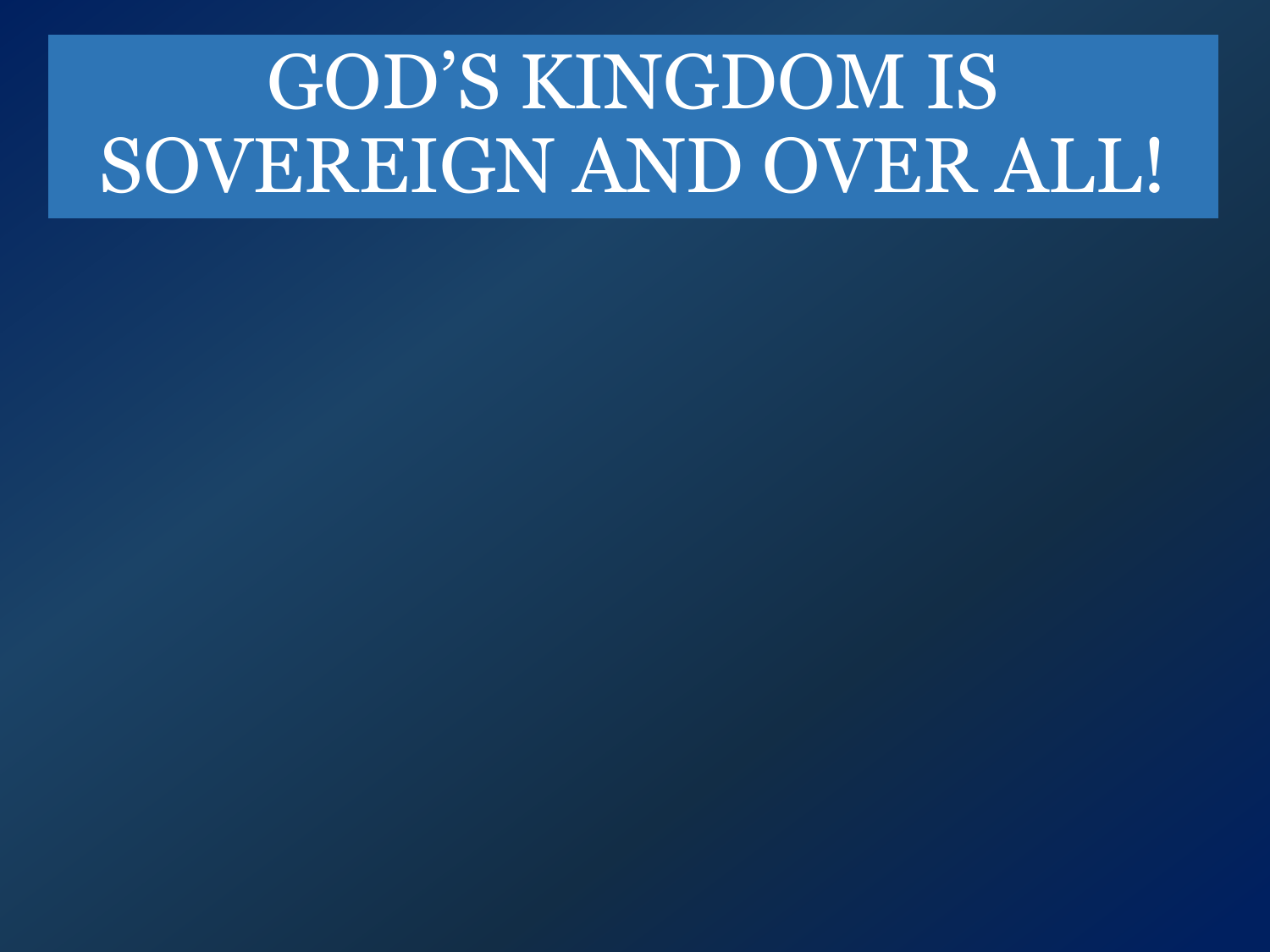# GOD'S KINGDOM IS SOVEREIGN AND OVER ALL!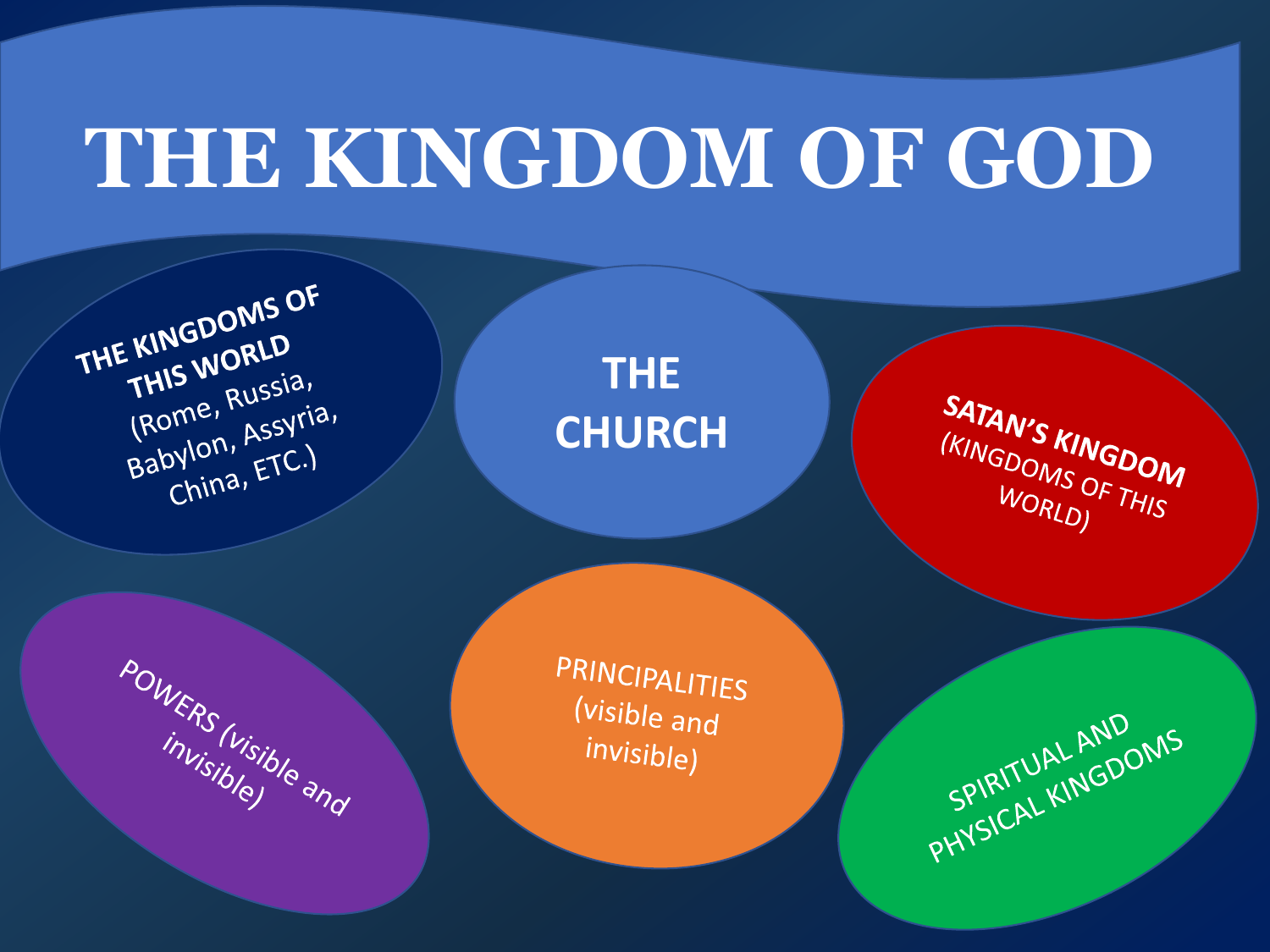# **THE KINGDOM OF GOD**